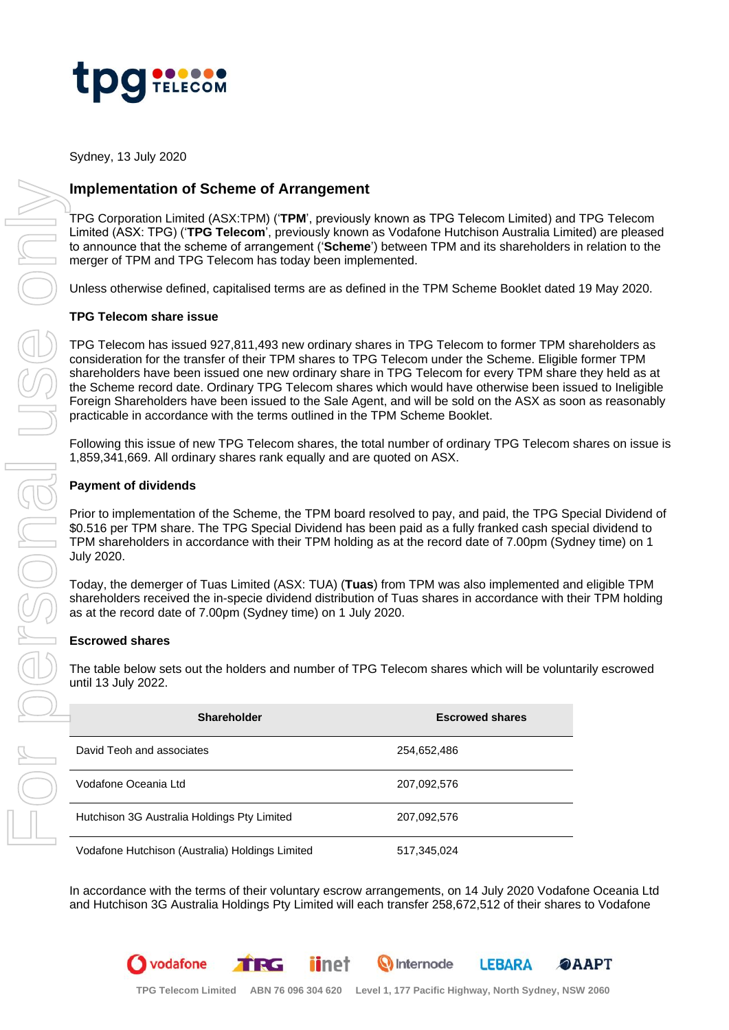

Sydney, 13 July 2020

# **Implementation of Scheme of Arrangement**

## **TPG Telecom share issue**

#### **Payment of dividends**

#### **Escrowed shares**

vodafone

|  | <b>Implementation of Scheme of Arrangement</b>                                                                                                                                                                                                                                                                                                                                                                                                                                                                                                                                                                                                  |                        |  |
|--|-------------------------------------------------------------------------------------------------------------------------------------------------------------------------------------------------------------------------------------------------------------------------------------------------------------------------------------------------------------------------------------------------------------------------------------------------------------------------------------------------------------------------------------------------------------------------------------------------------------------------------------------------|------------------------|--|
|  | TPG Corporation Limited (ASX:TPM) ('TPM', previously known as TPG Telecom Limited) and TPG Telecom<br>Limited (ASX: TPG) ('TPG Telecom', previously known as Vodafone Hutchison Australia Limited) are please<br>to announce that the scheme of arrangement ('Scheme') between TPM and its shareholders in relation to the<br>merger of TPM and TPG Telecom has today been implemented.                                                                                                                                                                                                                                                         |                        |  |
|  | Unless otherwise defined, capitalised terms are as defined in the TPM Scheme Booklet dated 19 May 2020.                                                                                                                                                                                                                                                                                                                                                                                                                                                                                                                                         |                        |  |
|  | <b>TPG Telecom share issue</b>                                                                                                                                                                                                                                                                                                                                                                                                                                                                                                                                                                                                                  |                        |  |
|  | TPG Telecom has issued 927,811,493 new ordinary shares in TPG Telecom to former TPM shareholders as<br>consideration for the transfer of their TPM shares to TPG Telecom under the Scheme. Eligible former TPM<br>shareholders have been issued one new ordinary share in TPG Telecom for every TPM share they held as a<br>the Scheme record date. Ordinary TPG Telecom shares which would have otherwise been issued to Ineligib<br>Foreign Shareholders have been issued to the Sale Agent, and will be sold on the ASX as soon as reasonal<br>practicable in accordance with the terms outlined in the TPM Scheme Booklet.                  |                        |  |
|  | Following this issue of new TPG Telecom shares, the total number of ordinary TPG Telecom shares on issu<br>1,859,341,669. All ordinary shares rank equally and are quoted on ASX.                                                                                                                                                                                                                                                                                                                                                                                                                                                               |                        |  |
|  | <b>Payment of dividends</b>                                                                                                                                                                                                                                                                                                                                                                                                                                                                                                                                                                                                                     |                        |  |
|  | Prior to implementation of the Scheme, the TPM board resolved to pay, and paid, the TPG Special Dividend<br>\$0.516 per TPM share. The TPG Special Dividend has been paid as a fully franked cash special dividend to<br>TPM shareholders in accordance with their TPM holding as at the record date of 7.00pm (Sydney time) on 1<br><b>July 2020.</b><br>Today, the demerger of Tuas Limited (ASX: TUA) (Tuas) from TPM was also implemented and eligible TPM<br>shareholders received the in-specie dividend distribution of Tuas shares in accordance with their TPM holdir<br>as at the record date of 7.00pm (Sydney time) on 1 July 2020. |                        |  |
|  |                                                                                                                                                                                                                                                                                                                                                                                                                                                                                                                                                                                                                                                 |                        |  |
|  | <b>Escrowed shares</b>                                                                                                                                                                                                                                                                                                                                                                                                                                                                                                                                                                                                                          |                        |  |
|  | The table below sets out the holders and number of TPG Telecom shares which will be voluntarily escrowed<br>until 13 July 2022.                                                                                                                                                                                                                                                                                                                                                                                                                                                                                                                 |                        |  |
|  | Shareholder                                                                                                                                                                                                                                                                                                                                                                                                                                                                                                                                                                                                                                     | <b>Escrowed shares</b> |  |
|  | David Teoh and associates                                                                                                                                                                                                                                                                                                                                                                                                                                                                                                                                                                                                                       | 254,652,486            |  |
|  |                                                                                                                                                                                                                                                                                                                                                                                                                                                                                                                                                                                                                                                 |                        |  |
|  | Vodafone Oceania Ltd                                                                                                                                                                                                                                                                                                                                                                                                                                                                                                                                                                                                                            | 207,092,576            |  |
|  | Hutchison 3G Australia Holdings Pty Limited                                                                                                                                                                                                                                                                                                                                                                                                                                                                                                                                                                                                     | 207,092,576            |  |

*iinet* 

TRG

In accordance with the terms of their voluntary escrow arrangements, on 14 July 2020 Vodafone Oceania Ltd

**W** Internode

**OAAPT** 

**LEBARA**